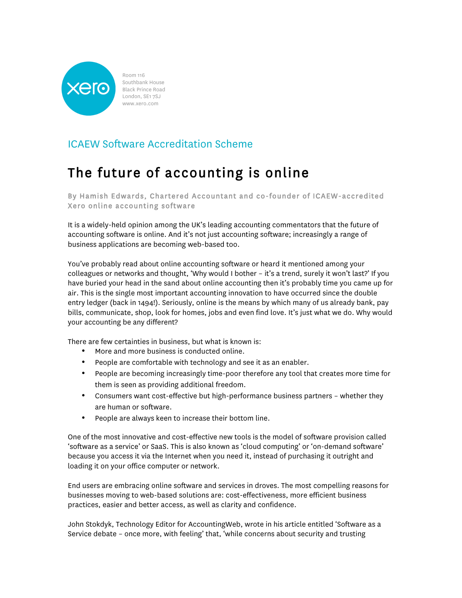

Room 116 Southbank House Black Prince Road London, SE1 7SJ www.xero.com

## ICAEW Software Accreditation Scheme

## The future of accounting is online

By Hamish Edwards, Chartered Accountant and co-founder of ICAEW-accredited Xero online accounting software

It is a widely-held opinion among the UK's leading accounting commentators that the future of accounting software is online. And it's not just accounting software; increasingly a range of business applications are becoming web-based too.

You've probably read about online accounting software or heard it mentioned among your colleagues or networks and thought, 'Why would I bother - it's a trend, surely it won't last?' If you have buried your head in the sand about online accounting then it's probably time you came up for air. This is the single most important accounting innovation to have occurred since the double entry ledger (back in 1494!). Seriously, online is the means by which many of us already bank, pay bills, communicate, shop, look for homes, jobs and even find love. It's just what we do. Why would your accounting be any different?

There are few certainties in business, but what is known is:

- More and more business is conducted online.
- People are comfortable with technology and see it as an enabler.
- People are becoming increasingly time-poor therefore any tool that creates more time for them is seen as providing additional freedom.
- Consumers want cost-effective but high-performance business partners whether they are human or software.
- People are always keen to increase their bottom line.

One of the most innovative and cost-effective new tools is the model of software provision called 'software as a service' or SaaS. This is also known as 'cloud computing' or 'on-demand software' because you access it via the Internet when you need it, instead of purchasing it outright and loading it on your office computer or network.

End users are embracing online software and services in droves. The most compelling reasons for businesses moving to web-based solutions are: cost-effectiveness, more efficient business practices, easier and better access, as well as clarity and confidence.

John Stokdyk, Technology Editor for AccountingWeb, wrote in his article entitled 'Software as a Service debate – once more, with feeling' that, 'while concerns about security and trusting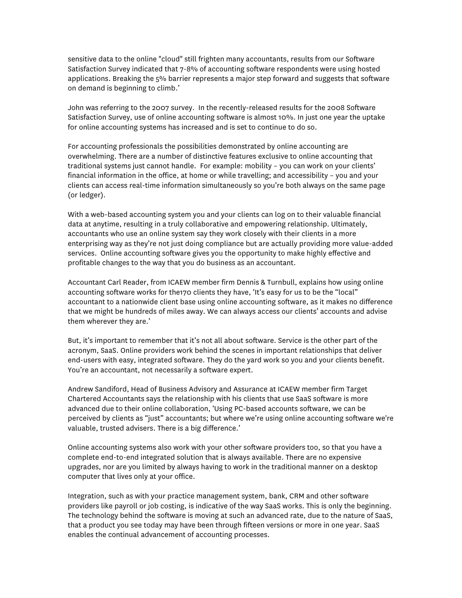sensitive data to the online "cloud" still frighten many accountants, results from our Software Satisfaction Survey indicated that 7-8% of accounting software respondents were using hosted applications. Breaking the 5% barrier represents a major step forward and suggests that software on demand is beginning to climb.'

John was referring to the 2007 survey. In the recently-released results for the 2008 Software Satisfaction Survey, use of online accounting software is almost 10%. In just one year the uptake for online accounting systems has increased and is set to continue to do so.

For accounting professionals the possibilities demonstrated by online accounting are overwhelming. There are a number of distinctive features exclusive to online accounting that traditional systems just cannot handle. For example: mobility – you can work on your clients' financial information in the office, at home or while travelling; and accessibility – you and your clients can access real-time information simultaneously so you're both always on the same page (or ledger).

With a web-based accounting system you and your clients can log on to their valuable financial data at anytime, resulting in a truly collaborative and empowering relationship. Ultimately, accountants who use an online system say they work closely with their clients in a more enterprising way as they're not just doing compliance but are actually providing more value-added services. Online accounting software gives you the opportunity to make highly effective and profitable changes to the way that you do business as an accountant.

Accountant Carl Reader, from ICAEW member firm Dennis & Turnbull, explains how using online accounting software works for the170 clients they have, 'It's easy for us to be the "local" accountant to a nationwide client base using online accounting software, as it makes no difference that we might be hundreds of miles away. We can always access our clients' accounts and advise them wherever they are.'

But, it's important to remember that it's not all about software. Service is the other part of the acronym, SaaS. Online providers work behind the scenes in important relationships that deliver end-users with easy, integrated software. They do the yard work so you and your clients benefit. You're an accountant, not necessarily a software expert.

Andrew Sandiford, Head of Business Advisory and Assurance at ICAEW member firm Target Chartered Accountants says the relationship with his clients that use SaaS software is more advanced due to their online collaboration, 'Using PC-based accounts software, we can be perceived by clients as "just" accountants; but where we're using online accounting software we're valuable, trusted advisers. There is a big difference.'

Online accounting systems also work with your other software providers too, so that you have a complete end-to-end integrated solution that is always available. There are no expensive upgrades, nor are you limited by always having to work in the traditional manner on a desktop computer that lives only at your office.

Integration, such as with your practice management system, bank, CRM and other software providers like payroll or job costing, is indicative of the way SaaS works. This is only the beginning. The technology behind the software is moving at such an advanced rate, due to the nature of SaaS, that a product you see today may have been through fifteen versions or more in one year. SaaS enables the continual advancement of accounting processes.